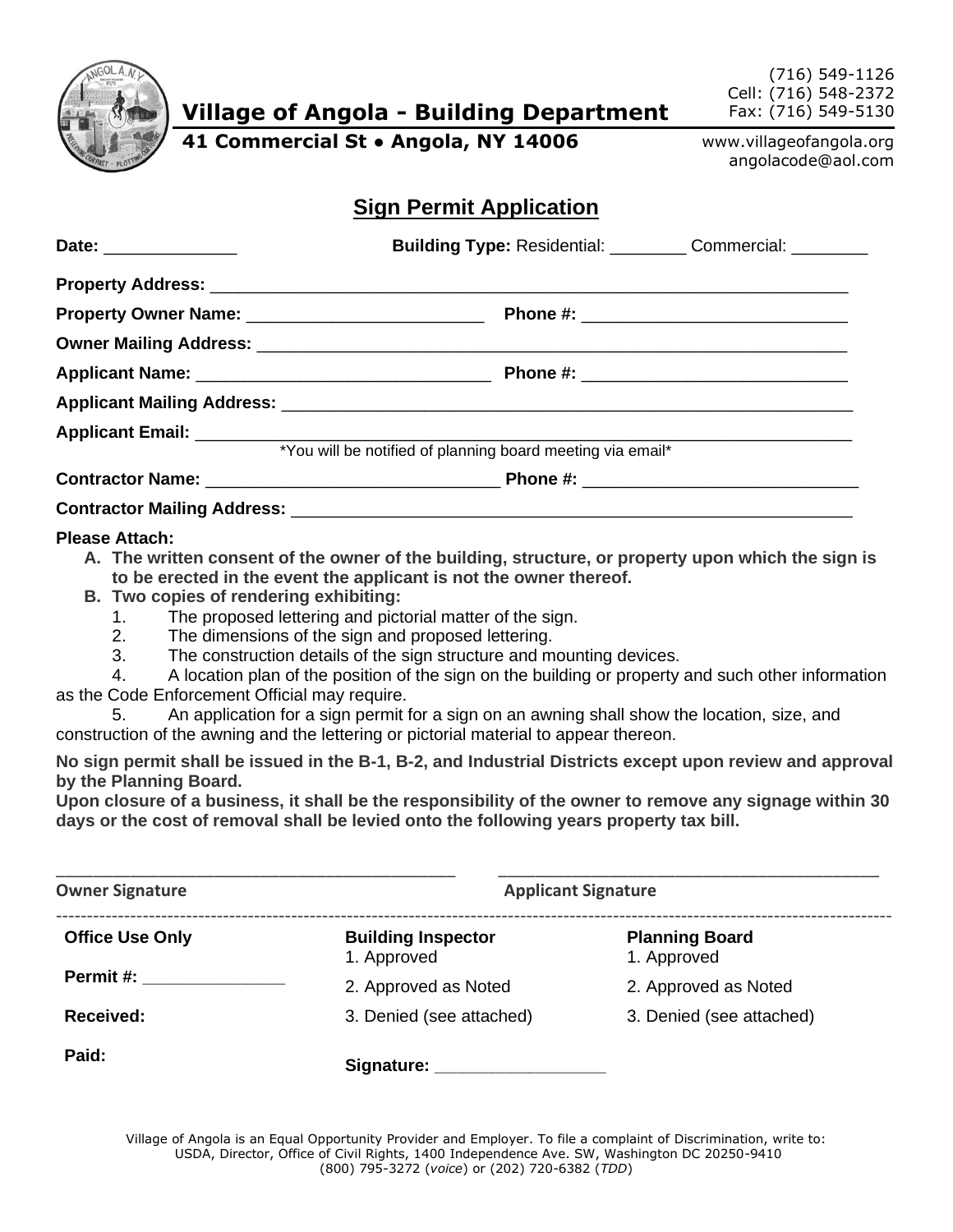

**Village of Angola - Building Department**

(716) 549-1126 Cell: (716) 548-2372 Fax: (716) 549-5130

**41 Commercial St ● Angola, NY 14006**

www.villageofangola.org angolacode@aol.com

## **Sign Permit Application**

| Building Type: Residential: ___________ Commercial: _________ |  |
|---------------------------------------------------------------|--|
|                                                               |  |
|                                                               |  |
|                                                               |  |
|                                                               |  |
|                                                               |  |
|                                                               |  |
| *You will be notified of planning board meeting via email*    |  |
|                                                               |  |
|                                                               |  |

## **Please Attach:**

- **A. The written consent of the owner of the building, structure, or property upon which the sign is to be erected in the event the applicant is not the owner thereof.**
- **B. Two copies of rendering exhibiting:**
	- 1. The proposed lettering and pictorial matter of the sign.
	- 2. The dimensions of the sign and proposed lettering.
	- 3. The construction details of the sign structure and mounting devices.

4. A location plan of the position of the sign on the building or property and such other information as the Code Enforcement Official may require.

5. An application for a sign permit for a sign on an awning shall show the location, size, and construction of the awning and the lettering or pictorial material to appear thereon.

**No sign permit shall be issued in the B-1, B-2, and Industrial Districts except upon review and approval by the Planning Board.**

**Upon closure of a business, it shall be the responsibility of the owner to remove any signage within 30 days or the cost of removal shall be levied onto the following years property tax bill.**

| <b>Owner Signature</b> |                                          | <b>Applicant Signature</b>           |
|------------------------|------------------------------------------|--------------------------------------|
| <b>Office Use Only</b> | <b>Building Inspector</b><br>1. Approved | <b>Planning Board</b><br>1. Approved |
| Permit #:              | 2. Approved as Noted                     | 2. Approved as Noted                 |
| Received:              | 3. Denied (see attached)                 | 3. Denied (see attached)             |
| Paid:                  | Signature:                               |                                      |

Village of Angola is an Equal Opportunity Provider and Employer. To file a complaint of Discrimination, write to: USDA, Director, Office of Civil Rights, 1400 Independence Ave. SW, Washington DC 20250-9410 (800) 795-3272 (*voice*) or (202) 720-6382 (*TDD*)